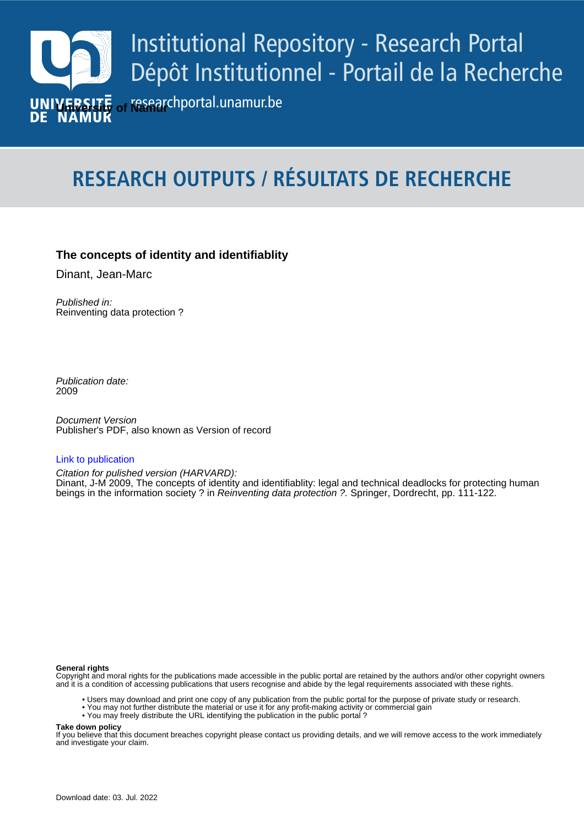

# **RESEARCH OUTPUTS / RÉSULTATS DE RECHERCHE**

# **The concepts of identity and identifiablity**

Dinant, Jean-Marc

Published in: Reinventing data protection ?

Publication date: 2009

**Pocument version**<br>Publisher's PDF, also known as Version of record Document Version

### [Link to publication](https://researchportal.unamur.be/en/publications/6f329d25-b775-434e-95d1-42912e1173c2)

Citation for pulished version (HARVARD):

beings in the information society ? in Reinventing data protection ?. Springer, Dordrecht, pp. 111-122. Dinant, J-M 2009, The concepts of identity and identifiablity: legal and technical deadlocks for protecting human

### **General rights**

Copyright and moral rights for the publications made accessible in the public portal are retained by the authors and/or other copyright owners and it is a condition of accessing publications that users recognise and abide by the legal requirements associated with these rights.

- Users may download and print one copy of any publication from the public portal for the purpose of private study or research.
- You may not further distribute the material or use it for any profit-making activity or commercial gain
- You may freely distribute the URL identifying the publication in the public portal ?

**Take down policy**

If you believe that this document breaches copyright please contact us providing details, and we will remove access to the work immediately and investigate your claim.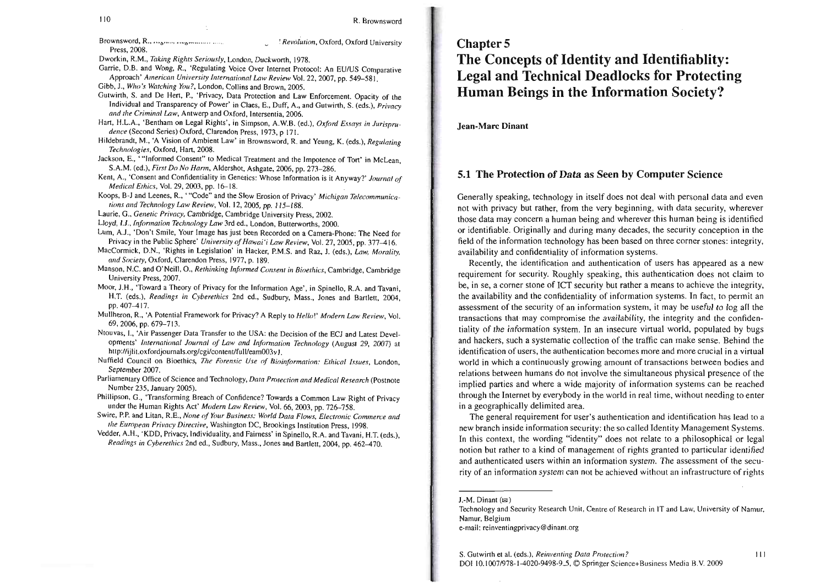# Chapter 5 The Concepts of Identity and Identifiablity: **Legal and Technical Deadlocks for Protecting Human Beings in the Information Society?**

**Jean-Marc Dinant** 

### 5.1 The Protection of Data as Seen by Computer Science

Generally speaking, technology in itself does not deal with personal data and even not with privacy but rather, from the very beginning, with data security, wherever those data may concern a human being and wherever this human being is identified or identifiable. Originally and during many decades, the security conception in the field of the information technology has been based on three corner stones: integrity, availability and confidentiality of information systems.

Recently, the identification and authentication of users has appeared as a new requirement for security. Roughly speaking, this authentication does not claim to be, in se, a corner stone of ICT security but rather a means to achieve the integrity, the availability and the confidentiality of information systems. In fact, to permit an assessment of the security of an information system, it may be useful to log all the transactions that may compromise the availability, the integrity and the confidentiality of the information system. In an insecure virtual world, populated by bugs and hackers, such a systematic collection of the traffic can make sense. Behind the identification of users, the authentication becomes more and more crucial in a virtual world in which a continuously growing amount of transactions between bodies and relations between humans do not involve the simultaneous physical presence of the implied parties and where a wide majority of information systems can be reached through the Internet by everybody in the world in real time, without needing to enter in a geographically delimited area.

The general requirement for user's authentication and identification has lead to a new branch inside information security: the so called Identity Management Systems. In this context, the wording "identity" does not relate to a philosophical or legal notion but rather to a kind of management of rights granted to particular identified and authenticated users within an information system. The assessment of the security of an information system can not be achieved without an infrastructure of rights

 $J.-M.$  Dinant  $(\boxtimes)$ 

Technology and Security Research Unit, Centre of Research in IT and Law, University of Namur, Namur, Belgium

e-mail: reinventingprivacy@dinant.org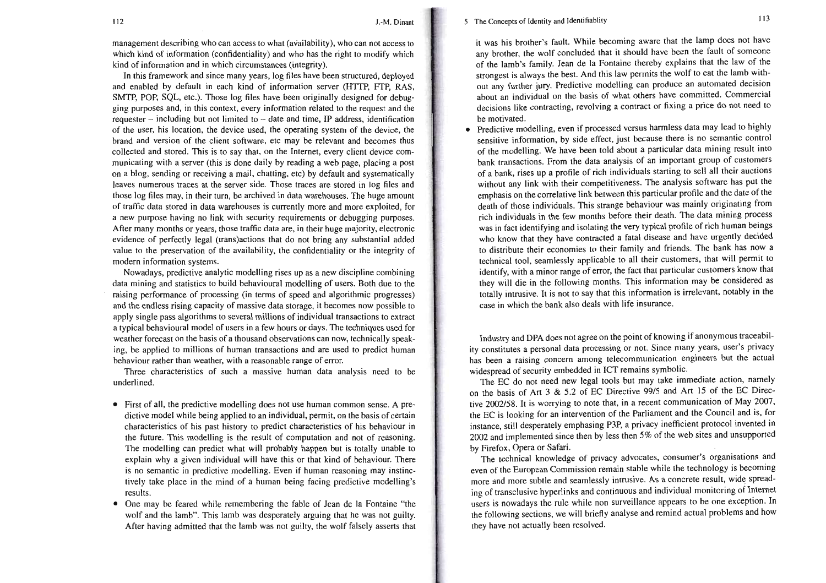#### 5 The Concepts of Identity and Identifiablity

J.-M. Dinant

management describing who can access to what (availability), who can not access to which kind of information (confidentiality) and who has the right to modify which kind of information and in which circumstances (integrity).

In this framework and since many years, log files have been structured, deployed and enabled by default in each kind of information server (HTTP, FTP, RAS, SMTP, POP, SQL, etc.). Those log files have been originally designed for debugging purposes and, in this context, every information related to the request and the requester  $-$  including but not limited to  $-$  date and time, IP address, identification of the user, his location, the device used, the operating system of the device, the brand and version of the client software, etc may be relevant and becomes thus collected and stored. This is to say that, on the Internet, every client device communicating with a server (this is done daily by reading a web page, placing a post on a blog, sending or receiving a mail, chatting, etc) by default and systematically leaves numerous traces at the server side. Those traces are stored in log files and those log files may, in their turn, be archived in data warehouses. The huge amount of traffic data stored in data warehouses is currently more and more exploited, for a new purpose having no link with security requirements or debugging purposes. After many months or years, those traffic data are, in their huge majority, electronic evidence of perfectly legal (trans) actions that do not bring any substantial added value to the preservation of the availability, the confidentiality or the integrity of modern information systems.

Nowadays, predictive analytic modelling rises up as a new discipline combining data mining and statistics to build behavioural modelling of users. Both due to the raising performance of processing (in terms of speed and algorithmic progresses) and the endless rising capacity of massive data storage, it becomes now possible to apply single pass algorithms to several millions of individual transactions to extract a typical behavioural model of users in a few hours or days. The techniques used for weather forecast on the basis of a thousand observations can now, technically speaking, be applied to millions of human transactions and are used to predict human behaviour rather than weather, with a reasonable range of error.

Three characteristics of such a massive human data analysis need to be underlined.

- First of all, the predictive modelling does not use human common sense. A predictive model while being applied to an individual, permit, on the basis of certain characteristics of his past history to predict characteristics of his behaviour in the future. This modelling is the result of computation and not of reasoning. The modelling can predict what will probably happen but is totally unable to explain why a given individual will have this or that kind of behaviour. There is no semantic in predictive modelling. Even if human reasoning may instinctively take place in the mind of a human being facing predictive modelling's results.
- One may be feared while remembering the fable of Jean de la Fontaine "the wolf and the lamb". This lamb was desperately arguing that he was not guilty. After having admitted that the lamb was not guilty, the wolf falsely asserts that

it was his brother's fault. While becoming aware that the lamp does not have any brother, the wolf concluded that it should have been the fault of someone of the lamb's family. Jean de la Fontaine thereby explains that the law of the strongest is always the best. And this law permits the wolf to eat the lamb without any further jury. Predictive modelling can produce an automated decision about an individual on the basis of what others have committed. Commercial decisions like contracting, revolving a contract or fixing a price do not need to be motivated.

• Predictive modelling, even if processed versus harmless data may lead to highly sensitive information, by side effect, just because there is no semantic control of the modelling. We have been told about a particular data mining result into bank transactions. From the data analysis of an important group of customers of a bank, rises up a profile of rich individuals starting to sell all their auctions without any link with their competitiveness. The analysis software has put the emphasis on the correlative link between this particular profile and the date of the death of those individuals. This strange behaviour was mainly originating from rich individuals in the few months before their death. The data mining process was in fact identifying and isolating the very typical profile of rich human beings who know that they have contracted a fatal disease and have urgently decided to distribute their economies to their family and friends. The bank has now a technical tool, seamlessly applicable to all their customers, that will permit to identify, with a minor range of error, the fact that particular customers know that they will die in the following months. This information may be considered as totally intrusive. It is not to say that this information is irrelevant, notably in the case in which the bank also deals with life insurance.

Industry and DPA does not agree on the point of knowing if anonymous traceability constitutes a personal data processing or not. Since many years, user's privacy has been a raising concern among telecommunication engineers but the actual widespread of security embedded in ICT remains symbolic.

The EC do not need new legal tools but may take immediate action, namely on the basis of Art 3 & 5.2 of EC Directive 99/5 and Art 15 of the EC Directive 2002/58. It is worrying to note that, in a recent communication of May 2007, the EC is looking for an intervention of the Parliament and the Council and is, for instance, still desperately emphasing P3P, a privacy inefficient protocol invented in 2002 and implemented since then by less then 5% of the web sites and unsupported by Firefox, Opera or Safari.

The technical knowledge of privacy advocates, consumer's organisations and even of the European Commission remain stable while the technology is becoming more and more subtle and seamlessly intrusive. As a concrete result, wide spreading of transclusive hyperlinks and continuous and individual monitoring of Internet users is nowadays the rule while non surveillance appears to be one exception. In the following sections, we will briefly analyse and remind actual problems and how they have not actually been resolved.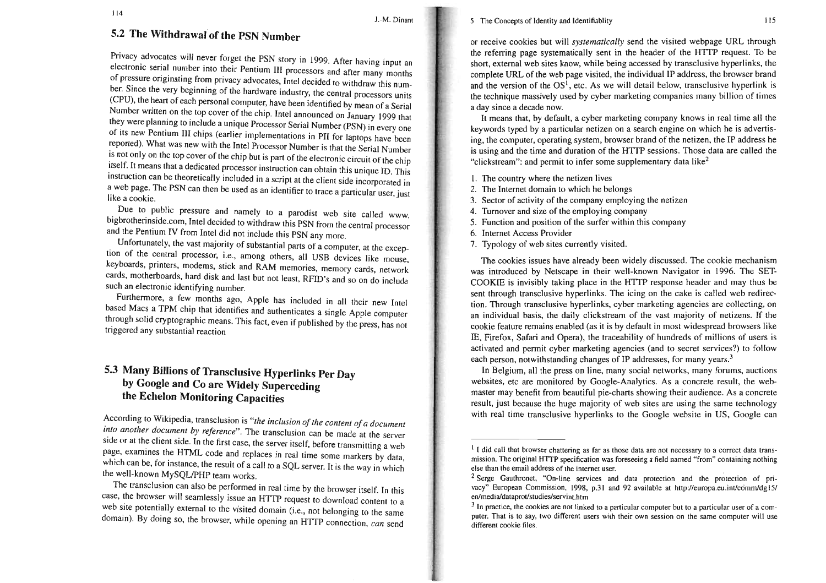#### J.-M. Dinant

# 5.2 The Withdrawal of the PSN Number

Privacy advocates will never forget the PSN story in 1999. After having input an electronic serial number into their Pentium III processors and after many months of pressure originating from privacy advocates, Intel decided to withdraw this number. Since the very beginning of the hardware industry, the central processors units (CPU), the heart of each personal computer, have been identified by mean of a Serial Number written on the top cover of the chip. Intel announced on January 1999 that they were planning to include a unique Processor Serial Number (PSN) in every one of its new Pentium III chips (earlier implementations in PII for laptops have been reported). What was new with the Intel Processor Number is that the Serial Number is not only on the top cover of the chip but is part of the electronic circuit of the chip itself. It means that a dedicated processor instruction can obtain this unique ID. This instruction can be theoretically included in a script at the client side incorporated in a web page. The PSN can then be used as an identifier to trace a particular user, just like a cookie.

Due to public pressure and namely to a parodist web site called www. bigbrotherinside.com, Intel decided to withdraw this PSN from the central processor and the Pentium IV from Intel did not include this PSN any more.

Unfortunately, the vast majority of substantial parts of a computer, at the exception of the central processor, i.e., among others, all USB devices like mouse, keyboards, printers, modems, stick and RAM memories, memory cards, network cards, motherboards, hard disk and last but not least, RFID's and so on do include such an electronic identifying number.

Furthermore, a few months ago, Apple has included in all their new Intel based Macs a TPM chip that identifies and authenticates a single Apple computer through solid cryptographic means. This fact, even if published by the press, has not triggered any substantial reaction

# 5.3 Many Billions of Transclusive Hyperlinks Per Day by Google and Co are Widely Superceding the Echelon Monitoring Capacities

According to Wikipedia, transclusion is "the inclusion of the content of a document into another document by reference". The transclusion can be made at the server side or at the client side. In the first case, the server itself, before transmitting a web page, examines the HTML code and replaces in real time some markers by data, which can be, for instance, the result of a call to a SQL server. It is the way in which the well-known MySQL/PHP team works.

The transclusion can also be performed in real time by the browser itself. In this case, the browser will seamlessly issue an HTTP request to download content to a web site potentially external to the visited domain (i.e., not belonging to the same domain). By doing so, the browser, while opening an HTTP connection, can send

#### 5 The Concepts of Identity and Identifiablity

or receive cookies but will *systematically* send the visited webpage URL through the referring page systematically sent in the header of the HTTP request. To be short, external web sites know, while being accessed by transclusive hyperlinks, the complete URL of the web page visited, the individual IP address, the browser brand and the version of the  $OS<sup>1</sup>$ , etc. As we will detail below, transclusive hyperlink is the technique massively used by cyber marketing companies many billion of times a day since a decade now.

It means that, by default, a cyber marketing company knows in real time all the keywords typed by a particular netizen on a search engine on which he is advertising, the computer, operating system, browser brand of the netizen, the IP address he is using and the time and duration of the HTTP sessions. Those data are called the "clickstream": and permit to infer some supplementary data like<sup>2</sup>

- 1. The country where the netizen lives
- 2. The Internet domain to which he belongs
- 3. Sector of activity of the company employing the netizen
- 4. Turnover and size of the employing company
- 5. Function and position of the surfer within this company
- 6. Internet Access Provider
- 7. Typology of web sites currently visited.

The cookies issues have already been widely discussed. The cookie mechanism was introduced by Netscape in their well-known Navigator in 1996. The SET-COOKIE is invisibly taking place in the HTTP response header and may thus be sent through transclusive hyperlinks. The icing on the cake is called web redirection. Through transclusive hyperlinks, cyber marketing agencies are collecting, on an individual basis, the daily clickstream of the vast majority of netizens. If the cookie feature remains enabled (as it is by default in most widespread browsers like IE, Firefox, Safari and Opera), the traceability of hundreds of millions of users is activated and permit cyber marketing agencies (and to secret services?) to follow each person, notwithstanding changes of IP addresses, for many years.<sup>3</sup>

In Belgium, all the press on line, many social networks, many forums, auctions websites, etc are monitored by Google-Analytics. As a concrete result, the webmaster may benefit from beautiful pie-charts showing their audience. As a concrete result, just because the huge majority of web sites are using the same technology with real time transclusive hyperlinks to the Google website in US, Google can

<sup>&</sup>lt;sup>1</sup> I did call that browser chattering as far as those data are not necessary to a correct data transmission. The original HTTP specification was foreseeing a field named "from" containing nothing else than the email address of the internet user.

<sup>&</sup>lt;sup>2</sup> Serge Gauthronet, "On-line services and data protection and the protection of privacy" European Commission, 1998, p.31 and 92 available at http://europa.eu.int/comm/dg15/ en/media/dataprot/studies/servint.htm

 $3$  In practice, the cookies are not linked to a particular computer but to a particular user of a computer. That is to say, two different users with their own session on the same computer will use different cookie files.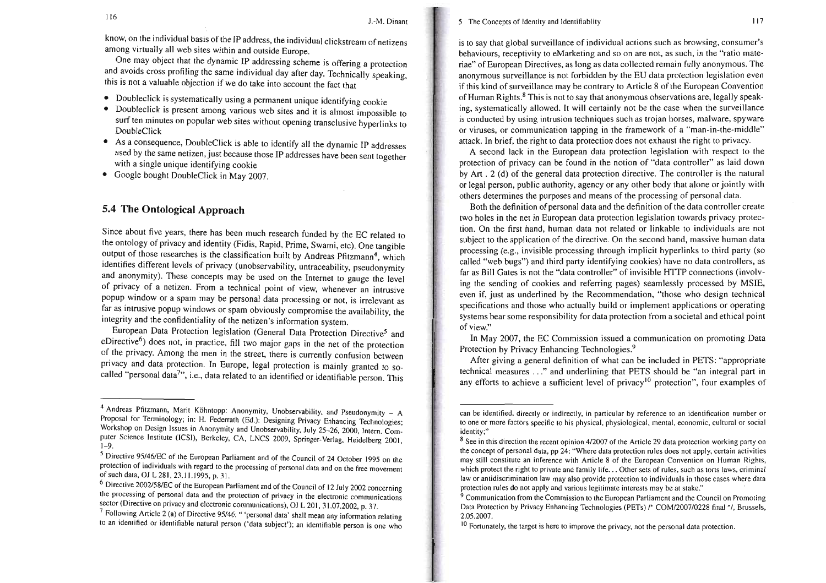know, on the individual basis of the IP address, the individual clickstream of netizens among virtually all web sites within and outside Europe.

One may object that the dynamic IP addressing scheme is offering a protection and avoids cross profiling the same individual day after day. Technically speaking, this is not a valuable objection if we do take into account the fact that

- Doubleclick is systematically using a permanent unique identifying cookie
- Doubleclick is present among various web sites and it is almost impossible to surf ten minutes on popular web sites without opening transclusive hyperlinks to DoubleClick
- As a consequence, DoubleClick is able to identify all the dynamic IP addresses used by the same netizen, just because those IP addresses have been sent together with a single unique identifying cookie
- Google bought DoubleClick in May 2007.

## 5.4 The Ontological Approach

Since about five years, there has been much research funded by the EC related to the ontology of privacy and identity (Fidis, Rapid, Prime, Swami, etc). One tangible output of those researches is the classification built by Andreas Pfitzmann<sup>4</sup>, which identifies different levels of privacy (unobservability, untraceability, pseudonymity and anonymity). These concepts may be used on the Internet to gauge the level of privacy of a netizen. From a technical point of view, whenever an intrusive popup window or a spam may be personal data processing or not, is irrelevant as far as intrusive popup windows or spam obviously compromise the availability, the integrity and the confidentiality of the netizen's information system.

European Data Protection legislation (General Data Protection Directive<sup>5</sup> and eDirective<sup>6</sup>) does not, in practice, fill two major gaps in the net of the protection of the privacy. Among the men in the street, there is currently confusion between privacy and data protection. In Europe, legal protection is mainly granted to socalled "personal data<sup>7</sup>", i.e., data related to an identified or identifiable person. This

#### 5 The Concepts of Identity and Identifiablity

is to say that global surveillance of individual actions such as browsing, consumer's behaviours, receptivity to eMarketing and so on are not, as such, in the "ratio materiae" of European Directives, as long as data collected remain fully anonymous. The anonymous surveillance is not forbidden by the EU data protection legislation even if this kind of surveillance may be contrary to Article 8 of the European Convention of Human Rights.<sup>8</sup> This is not to say that anonymous observations are, legally speaking, systematically allowed. It will certainly not be the case when the surveillance is conducted by using intrusion techniques such as trojan horses, malware, spyware or viruses, or communication tapping in the framework of a "man-in-the-middle" attack. In brief, the right to data protection does not exhaust the right to privacy.

A second lack in the European data protection legislation with respect to the protection of privacy can be found in the notion of "data controller" as laid down by Art. 2 (d) of the general data protection directive. The controller is the natural or legal person, public authority, agency or any other body that alone or jointly with others determines the purposes and means of the processing of personal data.

Both the definition of personal data and the definition of the data controller create two holes in the net in European data protection legislation towards privacy protection. On the first hand, human data not related or linkable to individuals are not subject to the application of the directive. On the second hand, massive human data processing (e.g., invisible processing through implicit hyperlinks to third party (so called "web bugs") and third party identifying cookies) have no data controllers, as far as Bill Gates is not the "data controller" of invisible HTTP connections (involving the sending of cookies and referring pages) seamlessly processed by MSIE, even if, just as underlined by the Recommendation, "those who design technical specifications and those who actually build or implement applications or operating systems bear some responsibility for data protection from a societal and ethical point of view."

In May 2007, the EC Commission issued a communication on promoting Data Protection by Privacy Enhancing Technologies.<sup>9</sup>

After giving a general definition of what can be included in PETS: "appropriate" technical measures ..." and underlining that PETS should be "an integral part in any efforts to achieve a sufficient level of privacy<sup>10</sup> protection", four examples of

<sup>&</sup>lt;sup>4</sup> Andreas Pfitzmann, Marit Köhntopp: Anonymity, Unobservability, and Pseudonymity - A Proposal for Terminology; in: H. Federrath (Ed.): Designing Privacy Enhancing Technologies; Workshop on Design Issues in Anonymity and Unobservability, July 25-26, 2000, Intern. Computer Science Institute (ICSI), Berkeley, CA, LNCS 2009, Springer-Verlag, Heidelberg 2001,  $1 - 9.$ 

<sup>&</sup>lt;sup>5</sup> Directive 95/46/EC of the European Parliament and of the Council of 24 October 1995 on the protection of individuals with regard to the processing of personal data and on the free movement of such data, OJ L 281, 23.11.1995, p. 31.

<sup>&</sup>lt;sup>6</sup> Directive 2002/58/EC of the European Parliament and of the Council of 12 July 2002 concerning the processing of personal data and the protection of privacy in the electronic communications sector (Directive on privacy and electronic communications), OJ L 201, 31.07.2002, p. 37.

<sup>&</sup>lt;sup>7</sup> Following Article 2 (a) of Directive 95/46: " 'personal data' shall mean any information relating to an identified or identifiable natural person ('data subject'); an identifiable person is one who

can be identified, directly or indirectly, in particular by reference to an identification number or to one or more factors specific to his physical, physiological, mental, economic, cultural or social identity;"

 $8$  See in this direction the recent opinion 4/2007 of the Article 29 data protection working party on the concept of personal data, pp 24: "Where data protection rules does not apply, certain activities may still constitute an inference with Article 8 of the European Convention on Human Rights, which protect the right to private and family life... Other sets of rules, such as torts laws, criminal law or antidiscrimination law may also provide protection to individuals in those cases where data protection rules do not apply and various legitimate interests may be at stake."

<sup>&</sup>lt;sup>9</sup> Communication from the Commission to the European Parliament and the Council on Promoting Data Protection by Privacy Enhancing Technologies (PETs) /\* COM/2007/0228 final \*/, Brussels, 2.05.2007.

 $10$  Fortunately, the target is here to improve the privacy, not the personal data protection.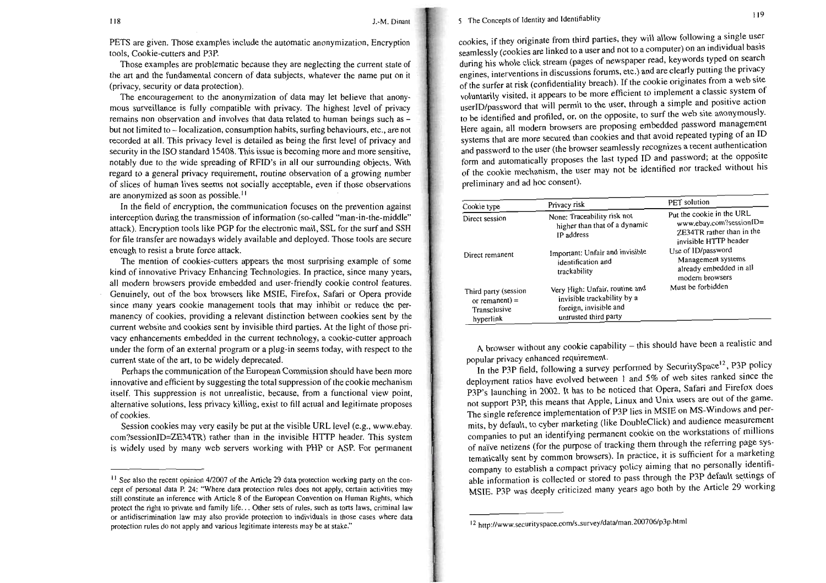# 5 The Concepts of Identity and Identifiablity

J.-M. Dinant

PETS are given. Those examples include the automatic anonymization, Encryption tools, Cookie-cutters and P3P.

Those examples are problematic because they are neglecting the current state of the art and the fundamental concern of data subjects, whatever the name put on it (privacy, security or data protection).

The encouragement to the anonymization of data may let believe that anonymous surveillance is fully compatible with privacy. The highest level of privacy remains non observation and involves that data related to human beings such as but not limited to – localization, consumption habits, surfing behaviours, etc., are not recorded at all. This privacy level is detailed as being the first level of privacy and security in the ISO standard 15408. This issue is becoming more and more sensitive, notably due to the wide spreading of RFID's in all our surrounding objects. With regard to a general privacy requirement, routine observation of a growing number of slices of human lives seems not socially acceptable, even if those observations are anonymized as soon as possible.<sup>11</sup>

In the field of encryption, the communication focuses on the prevention against interception during the transmission of information (so-called "man-in-the-middle" attack). Encryption tools like PGP for the electronic mail, SSL for the surf and SSH for file transfer are nowadays widely available and deployed. Those tools are secure enough to resist a brute force attack.

The mention of cookies-cutters appears the most surprising example of some kind of innovative Privacy Enhancing Technologies. In practice, since many years, all modern browsers provide embedded and user-friendly cookie control features. Genuinely, out of the box browsers like MSIE, Firefox, Safari or Opera provide since many years cookie management tools that may inhibit or reduce the permanency of cookies, providing a relevant distinction between cookies sent by the current website and cookies sent by invisible third parties. At the light of those privacy enhancements embedded in the current technology, a cookie-cutter approach under the form of an external program or a plug-in seems today, with respect to the current state of the art, to be widely deprecated.

Perhaps the communication of the European Commission should have been more innovative and efficient by suggesting the total suppression of the cookie mechanism itself. This suppression is not unrealistic, because, from a functional view point, alternative solutions, less privacy killing, exist to fill actual and legitimate proposes of cookies.

Session cookies may very easily be put at the visible URL level (e.g., www.ebay. com?sessionID=ZE34TR) rather than in the invisible HTTP header. This system is widely used by many web servers working with PHP or ASP. For permanent cookies, if they originate from third parties, they will allow following a single user seamlessly (cookies are linked to a user and not to a computer) on an individual basis during his whole click stream (pages of newspaper read, keywords typed on search engines, interventions in discussions forums, etc.) and are clearly putting the privacy of the surfer at risk (confidentiality breach). If the cookie originates from a web site voluntarily visited, it appears to be more efficient to implement a classic system of userID/password that will permit to the user, through a simple and positive action to be identified and profiled, or, on the opposite, to surf the web site anonymously. Here again, all modern browsers are proposing embedded password management systems that are more secured than cookies and that avoid repeated typing of an ID and password to the user (the browser seamlessly recognizes a recent authentication form and automatically proposes the last typed ID and password; at the opposite of the cookie mechanism, the user may not be identified nor tracked without his preliminary and ad hoc consent).

| Cookie type                                                           | Privacy risk                                                                                                     | PET solution                                                                                                                                                                                                              |
|-----------------------------------------------------------------------|------------------------------------------------------------------------------------------------------------------|---------------------------------------------------------------------------------------------------------------------------------------------------------------------------------------------------------------------------|
| Direct session                                                        | None: Traceability risk not<br>higher than that of a dynamic<br>IP address                                       | Put the cookie in the URL<br>www.ebay.com?sessionID=<br>ZE34TR rather than in the<br>invisible HTTP header<br>Use of ID/password<br>Management systems<br>already embedded in all<br>modern browsers<br>Must be forbidden |
| Direct remanent                                                       | Important: Unfair and invisible<br>identification and<br>trackability                                            |                                                                                                                                                                                                                           |
| Third party (session<br>or remanent) $=$<br>Transclusive<br>hyperlink | Very High: Unfair, routine and<br>invisible trackability by a<br>foreign, invisible and<br>untrusted third party |                                                                                                                                                                                                                           |

A browser without any cookie capability - this should have been a realistic and popular privacy enhanced requirement.

In the P3P field, following a survey performed by SecuritySpace<sup>12</sup>, P3P policy deployment ratios have evolved between 1 and 5% of web sites ranked since the P3P's launching in 2002. It has to be noticed that Opera, Safari and Firefox does not support P3P, this means that Apple, Linux and Unix users are out of the game. The single reference implementation of P3P lies in MSIE on MS-Windows and permits, by default, to cyber marketing (like DoubleClick) and audience measurement companies to put an identifying permanent cookie on the workstations of millions of naïve netizens (for the purpose of tracking them through the referring page systematically sent by common browsers). In practice, it is sufficient for a marketing company to establish a compact privacy policy aiming that no personally identifiable information is collected or stored to pass through the P3P default settings of MSIE. P3P was deeply criticized many years ago both by the Article 29 working

 $<sup>11</sup>$  See also the recent opinion 4/2007 of the Article 29 data protection working party on the con-</sup> cept of personal data P. 24: "Where data protection rules does not apply, certain activities may still constitute an inference with Article 8 of the European Convention on Human Rights, which protect the right to private and family life... Other sets of rules, such as torts laws, criminal law or antidiscrimination law may also provide protection to individuals in those cases where data protection rules do not apply and various legitimate interests may be at stake."

<sup>&</sup>lt;sup>12</sup> http://www.securityspace.com/s\_survey/data/man.200706/p3p.html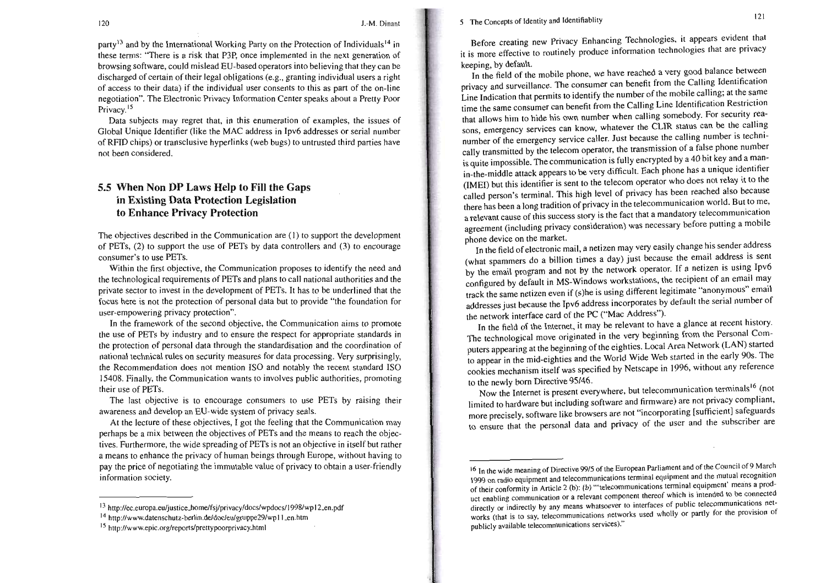### 5 The Concepts of Identity and Identifiablity

J.-M. Dinant

party<sup>13</sup> and by the International Working Party on the Protection of Individuals<sup>14</sup> in these terms: "There is a risk that P3P, once implemented in the next generation of browsing software, could mislead EU-based operators into believing that they can be discharged of certain of their legal obligations (e.g., granting individual users a right of access to their data) if the individual user consents to this as part of the on-line negotiation". The Electronic Privacy Information Center speaks about a Pretty Poor Privacy.<sup>15</sup>

Data subjects may regret that, in this enumeration of examples, the issues of Global Unique Identifier (like the MAC address in Ipv6 addresses or serial number of RFID chips) or transclusive hyperlinks (web bugs) to untrusted third parties have not been considered.

## 5.5 When Non DP Laws Help to Fill the Gaps in Existing Data Protection Legislation to Enhance Privacy Protection

The objectives described in the Communication are (1) to support the development of PETs, (2) to support the use of PETs by data controllers and (3) to encourage consumer's to use PETs.

Within the first objective, the Communication proposes to identify the need and the technological requirements of PETs and plans to call national authorities and the private sector to invest in the development of PETs. It has to be underlined that the focus here is not the protection of personal data but to provide "the foundation for user-empowering privacy protection".

In the framework of the second objective, the Communication aims to promote the use of PETs by industry and to ensure the respect for appropriate standards in the protection of personal data through the standardisation and the coordination of national technical rules on security measures for data processing. Very surprisingly, the Recommendation does not mention ISO and notably the recent standard ISO 15408. Finally, the Communication wants to involves public authorities, promoting their use of PETs.

The last objective is to encourage consumers to use PETs by raising their awareness and develop an EU-wide system of privacy seals.

At the lecture of these objectives, I got the feeling that the Communication may perhaps be a mix between the objectives of PETs and the means to reach the objectives. Furthermore, the wide spreading of PETs is not an objective in itself but rather a means to enhance the privacy of human beings through Europe, without having to pay the price of negotiating the immutable value of privacy to obtain a user-friendly information society.

Before creating new Privacy Enhancing Technologies, it appears evident that it is more effective to routinely produce information technologies that are privacy keeping, by default.

In the field of the mobile phone, we have reached a very good balance between privacy and surveillance. The consumer can benefit from the Calling Identification Line Indication that permits to identify the number of the mobile calling; at the same time the same consumer can benefit from the Calling Line Identification Restriction that allows him to hide his own number when calling somebody. For security reasons, emergency services can know, whatever the CLIR status can be the calling number of the emergency service caller. Just because the calling number is technically transmitted by the telecom operator, the transmission of a false phone number is quite impossible. The communication is fully encrypted by a 40 bit key and a manin-the-middle attack appears to be very difficult. Each phone has a unique identifier (IMEI) but this identifier is sent to the telecom operator who does not relay it to the called person's terminal. This high level of privacy has been reached also because there has been a long tradition of privacy in the telecommunication world. But to me, a relevant cause of this success story is the fact that a mandatory telecommunication agreement (including privacy consideration) was necessary before putting a mobile phone device on the market.

In the field of electronic mail, a netizen may very easily change his sender address (what spammers do a billion times a day) just because the email address is sent by the email program and not by the network operator. If a netizen is using Ipv6 configured by default in MS-Windows workstations, the recipient of an email may track the same netizen even if (s)he is using different legitimate "anonymous" email addresses just because the Ipv6 address incorporates by default the serial number of the network interface card of the PC ("Mac Address").

In the field of the Internet, it may be relevant to have a glance at recent history. The technological move originated in the very beginning from the Personal Computers appearing at the beginning of the eighties. Local Area Network (LAN) started to appear in the mid-eighties and the World Wide Web started in the early 90s. The cookies mechanism itself was specified by Netscape in 1996, without any reference to the newly born Directive 95/46.

Now the Internet is present everywhere, but telecommunication terminals<sup>16</sup> (not limited to hardware but including software and firmware) are not privacy compliant, more precisely, software like browsers are not "incorporating [sufficient] safeguards to ensure that the personal data and privacy of the user and the subscriber are

<sup>&</sup>lt;sup>13</sup> http://ec.europa.eu/justice\_home/fsj/privacy/docs/wpdocs/1998/wp12\_en.pdf

<sup>&</sup>lt;sup>14</sup> http://www.datenschutz-berlin.de/doc/eu/gruppe29/wp11\_en.htm

<sup>&</sup>lt;sup>15</sup> http://www.epic.org/reports/prettypoorprivacy.html

<sup>&</sup>lt;sup>16</sup> In the wide meaning of Directive 99/5 of the European Parliament and of the Council of 9 March 1999 on radio equipment and telecommunications terminal equipment and the mutual recognition of their conformity in Article 2 (b):  $(b)$  "telecommunications terminal equipment' means a product enabling communication or a relevant component thereof which is intended to be connected directly or indirectly by any means whatsoever to interfaces of public telecommunications networks (that is to say, telecommunications networks used wholly or partly for the provision of publicly available telecommunications services)."